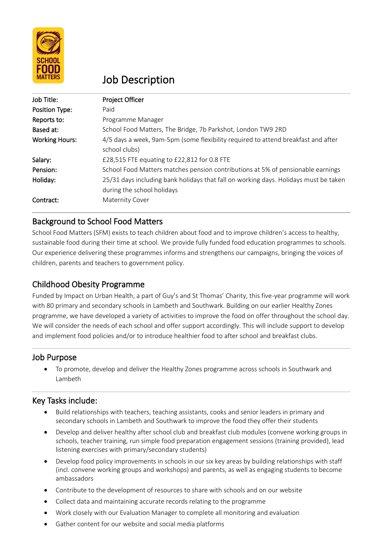

# Job Description

| Job Title:            | <b>Project Officer</b>                                                                                             |
|-----------------------|--------------------------------------------------------------------------------------------------------------------|
| Position Type:        | Paid                                                                                                               |
| Reports to:           | Programme Manager                                                                                                  |
| Based at:             | School Food Matters, The Bridge, 7b Parkshot, London TW9 2RD                                                       |
| <b>Working Hours:</b> | 4/5 days a week, 9am-5pm (some flexibility required to attend breakfast and after<br>school clubs)                 |
| Salary:               | £28,515 FTE equating to £22,812 for 0.8 FTE                                                                        |
| Pension:              | School Food Matters matches pension contributions at 5% of pensionable earnings                                    |
| Holiday:              | 25/31 days including bank holidays that fall on working days. Holidays must be taken<br>during the school holidays |
| Contract:             | <b>Maternity Cover</b>                                                                                             |

# Background to School Food Matters

School Food Matters (SFM) exists to teach children about food and to improve children's access to healthy, sustainable food during their time at school. We provide fully funded food education programmes to schools. Our experience delivering these programmes informs and strengthens our campaigns, bringing the voices of children, parents and teachers to government policy.

# Childhood Obesity Programme

Funded by Impact on Urban Health, a part of Guy's and St Thomas' Charity, this five-year programme will work with 80 primary and secondary schools in Lambeth and Southwark. Building on our earlier Healthy Zones programme, we have developed a variety of activities to improve the food on offer throughout the school day. We will consider the needs of each school and offer support accordingly. This will include support to develop and implement food policies and/or to introduce healthier food to after school and breakfast clubs.

# Job Purpose

• To promote, develop and deliver the Healthy Zones programme across schools in Southwark and Lambeth

# Key Tasks include:

- Build relationships with teachers, teaching assistants, cooks and senior leaders in primary and secondary schools in Lambeth and Southwark to improve the food they offer their students
- Develop and deliver healthy after school club and breakfast club modules (convene working groups in schools, teacher training, run simple food preparation engagement sessions (training provided), lead listening exercises with primary/secondary students)
- Develop food policy improvements in schools in our six key areas by building relationships with staff (incl. convene working groups and workshops) and parents, as well as engaging students to become ambassadors
- Contribute to the development of resources to share with schools and on our website
- Collect data and maintaining accurate records relating to the programme
- Work closely with our Evaluation Manager to complete all monitoring and evaluation
- Gather content for our website and social media platforms